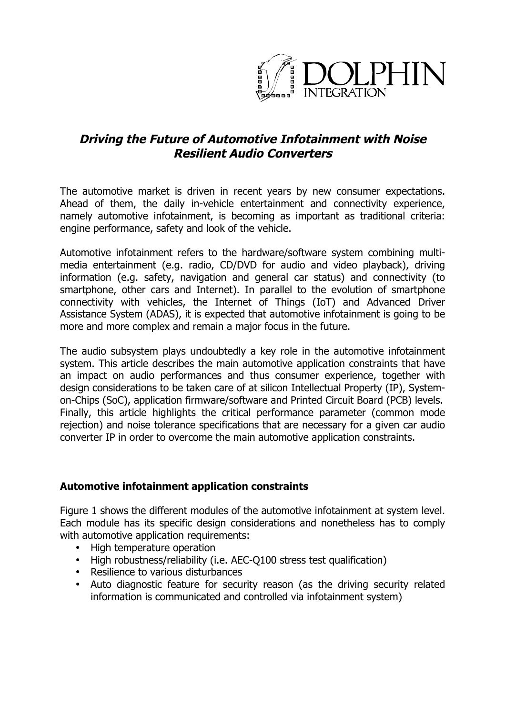

# **Driving the Future of Automotive Infotainment with Noise Resilient Audio Converters**

The automotive market is driven in recent years by new consumer expectations. Ahead of them, the daily in-vehicle entertainment and connectivity experience, namely automotive infotainment, is becoming as important as traditional criteria: engine performance, safety and look of the vehicle.

Automotive infotainment refers to the hardware/software system combining multimedia entertainment (e.g. radio, CD/DVD for audio and video playback), driving information (e.g. safety, navigation and general car status) and connectivity (to smartphone, other cars and Internet). In parallel to the evolution of smartphone connectivity with vehicles, the Internet of Things (IoT) and Advanced Driver Assistance System (ADAS), it is expected that automotive infotainment is going to be more and more complex and remain a major focus in the future.

The audio subsystem plays undoubtedly a key role in the automotive infotainment system. This article describes the main automotive application constraints that have an impact on audio performances and thus consumer experience, together with design considerations to be taken care of at silicon Intellectual Property (IP), Systemon-Chips (SoC), application firmware/software and Printed Circuit Board (PCB) levels. Finally, this article highlights the critical performance parameter (common mode rejection) and noise tolerance specifications that are necessary for a given car audio converter IP in order to overcome the main automotive application constraints.

# **Automotive infotainment application constraints**

Figure 1 shows the different modules of the automotive infotainment at system level. Each module has its specific design considerations and nonetheless has to comply with automotive application requirements:

- High temperature operation
- High robustness/reliability (i.e. AEC-Q100 stress test qualification)
- Resilience to various disturbances
- Auto diagnostic feature for security reason (as the driving security related information is communicated and controlled via infotainment system)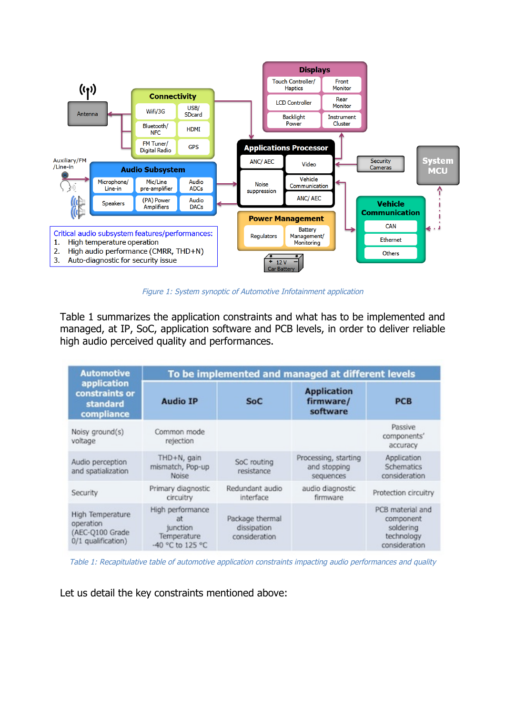

Figure 1: System synoptic of Automotive Infotainment application

Table 1 summarizes the application constraints and what has to be implemented and managed, at IP, SoC, application software and PCB levels, in order to deliver reliable high audio perceived quality and performances.

| <b>Automotive</b><br>application<br>constraints or<br>standard<br>compliance | To be implemented and managed at different levels                     |                                                 |                                                   |                                                                           |
|------------------------------------------------------------------------------|-----------------------------------------------------------------------|-------------------------------------------------|---------------------------------------------------|---------------------------------------------------------------------------|
|                                                                              | <b>Audio IP</b>                                                       | SoC                                             | <b>Application</b><br>firmware/<br>software       | <b>PCB</b>                                                                |
| Noisy ground(s)<br>voltage                                                   | Common mode<br>rejection                                              |                                                 |                                                   | Passive<br>components'<br>accuracy                                        |
| Audio perception<br>and spatialization                                       | THD+N, gain<br>mismatch, Pop-up<br><b>Noise</b>                       | SoC routing<br>resistance                       | Processing, starting<br>and stopping<br>sequences | Application<br>Schematics<br>consideration                                |
| Security                                                                     | Primary diagnostic<br>circuitry                                       | Redundant audio<br>interface                    | audio diagnostic<br>firmware                      | Protection circuitry                                                      |
| High Temperature<br>operation<br>(AEC-Q100 Grade<br>0/1 qualification)       | High performance<br>at<br>junction<br>Temperature<br>-40 °C to 125 °C | Package thermal<br>dissipation<br>consideration |                                                   | PCB material and<br>component<br>soldering<br>technology<br>consideration |

Table 1: Recapitulative table of automotive application constraints impacting audio performances and quality

Let us detail the key constraints mentioned above: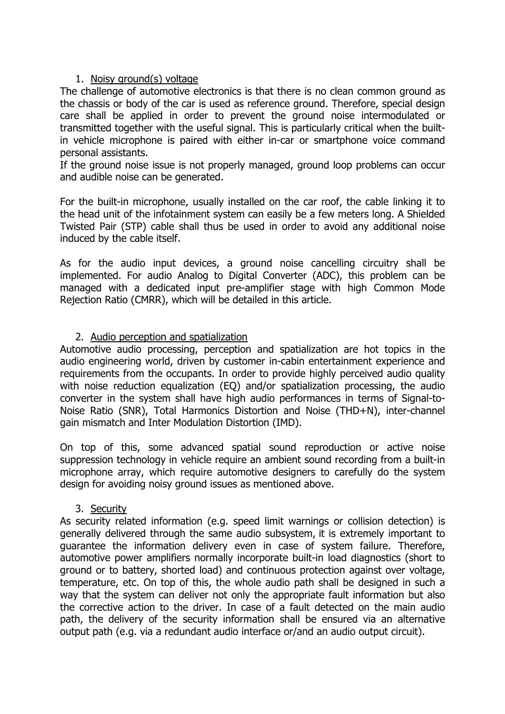#### 1. Noisy ground(s) voltage

The challenge of automotive electronics is that there is no clean common ground as the chassis or body of the car is used as reference ground. Therefore, special design care shall be applied in order to prevent the ground noise intermodulated or transmitted together with the useful signal. This is particularly critical when the builtin vehicle microphone is paired with either in-car or smartphone voice command personal assistants.

If the ground noise issue is not properly managed, ground loop problems can occur and audible noise can be generated.

For the built-in microphone, usually installed on the car roof, the cable linking it to the head unit of the infotainment system can easily be a few meters long. A Shielded Twisted Pair (STP) cable shall thus be used in order to avoid any additional noise induced by the cable itself.

As for the audio input devices, a ground noise cancelling circuitry shall be implemented. For audio Analog to Digital Converter (ADC), this problem can be managed with a dedicated input pre-amplifier stage with high Common Mode Rejection Ratio (CMRR), which will be detailed in this article.

# 2. Audio perception and spatialization

Automotive audio processing, perception and spatialization are hot topics in the audio engineering world, driven by customer in-cabin entertainment experience and requirements from the occupants. In order to provide highly perceived audio quality with noise reduction equalization (EQ) and/or spatialization processing, the audio converter in the system shall have high audio performances in terms of Signal-to-Noise Ratio (SNR), Total Harmonics Distortion and Noise (THD+N), inter-channel gain mismatch and Inter Modulation Distortion (IMD).

On top of this, some advanced spatial sound reproduction or active noise suppression technology in vehicle require an ambient sound recording from a built-in microphone array, which require automotive designers to carefully do the system design for avoiding noisy ground issues as mentioned above.

# 3. Security

As security related information (e.g. speed limit warnings or collision detection) is generally delivered through the same audio subsystem, it is extremely important to guarantee the information delivery even in case of system failure. Therefore, automotive power amplifiers normally incorporate built-in load diagnostics (short to ground or to battery, shorted load) and continuous protection against over voltage, temperature, etc. On top of this, the whole audio path shall be designed in such a way that the system can deliver not only the appropriate fault information but also the corrective action to the driver. In case of a fault detected on the main audio path, the delivery of the security information shall be ensured via an alternative output path (e.g. via a redundant audio interface or/and an audio output circuit).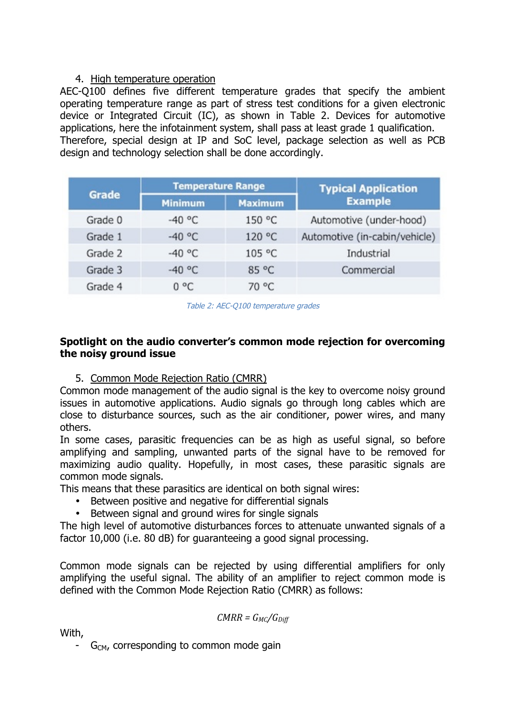# 4. High temperature operation

AEC-Q100 defines five different temperature grades that specify the ambient operating temperature range as part of stress test conditions for a given electronic device or Integrated Circuit (IC), as shown in Table 2. Devices for automotive applications, here the infotainment system, shall pass at least grade 1 qualification. Therefore, special design at IP and SoC level, package selection as well as PCB design and technology selection shall be done accordingly.

| <b>Grade</b> | <b>Temperature Range</b> |                | <b>Typical Application</b>    |  |
|--------------|--------------------------|----------------|-------------------------------|--|
|              | <b>Minimum</b>           | <b>Maximum</b> | <b>Example</b>                |  |
| Grade 0      | $-40 °C$                 | 150 °C         | Automotive (under-hood)       |  |
| Grade 1      | $-40 °C$                 | 120 °C         | Automotive (in-cabin/vehicle) |  |
| Grade 2      | $-40 °C$                 | 105 °C         | Industrial                    |  |
| Grade 3      | $-40 °C$                 | 85 °C          | Commercial                    |  |
| Grade 4      | $0^{\circ}$ C            | 70 °C          |                               |  |

Table 2: AEC-Q100 temperature grades

# **Spotlight on the audio converter's common mode rejection for overcoming the noisy ground issue**

5. Common Mode Rejection Ratio (CMRR)

Common mode management of the audio signal is the key to overcome noisy ground issues in automotive applications. Audio signals go through long cables which are close to disturbance sources, such as the air conditioner, power wires, and many others.

In some cases, parasitic frequencies can be as high as useful signal, so before amplifying and sampling, unwanted parts of the signal have to be removed for maximizing audio quality. Hopefully, in most cases, these parasitic signals are common mode signals.

This means that these parasitics are identical on both signal wires:

- Between positive and negative for differential signals
- Between signal and ground wires for single signals

The high level of automotive disturbances forces to attenuate unwanted signals of a factor 10,000 (i.e. 80 dB) for guaranteeing a good signal processing.

Common mode signals can be rejected by using differential amplifiers for only amplifying the useful signal. The ability of an amplifier to reject common mode is defined with the Common Mode Rejection Ratio (CMRR) as follows:

$$
CMRR = G_{MC}/G_{Diff}
$$

With,

 $G<sub>CM</sub>$ , corresponding to common mode gain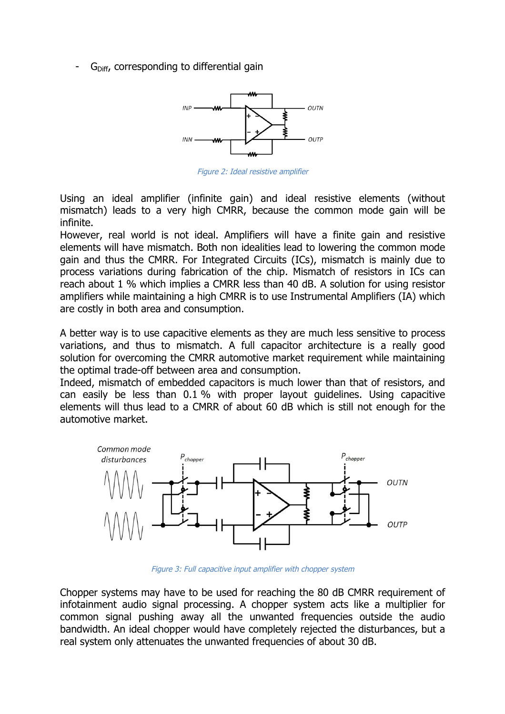$G<sub>Diff</sub>$ , corresponding to differential gain



Figure 2: Ideal resistive amplifier

Using an ideal amplifier (infinite gain) and ideal resistive elements (without mismatch) leads to a very high CMRR, because the common mode gain will be infinite.

However, real world is not ideal. Amplifiers will have a finite gain and resistive elements will have mismatch. Both non idealities lead to lowering the common mode gain and thus the CMRR. For Integrated Circuits (ICs), mismatch is mainly due to process variations during fabrication of the chip. Mismatch of resistors in ICs can reach about 1 % which implies a CMRR less than 40 dB. A solution for using resistor amplifiers while maintaining a high CMRR is to use Instrumental Amplifiers (IA) which are costly in both area and consumption.

A better way is to use capacitive elements as they are much less sensitive to process variations, and thus to mismatch. A full capacitor architecture is a really good solution for overcoming the CMRR automotive market requirement while maintaining the optimal trade-off between area and consumption.

Indeed, mismatch of embedded capacitors is much lower than that of resistors, and can easily be less than 0.1 % with proper layout guidelines. Using capacitive elements will thus lead to a CMRR of about 60 dB which is still not enough for the automotive market.



Figure 3: Full capacitive input amplifier with chopper system

Chopper systems may have to be used for reaching the 80 dB CMRR requirement of infotainment audio signal processing. A chopper system acts like a multiplier for common signal pushing away all the unwanted frequencies outside the audio bandwidth. An ideal chopper would have completely rejected the disturbances, but a real system only attenuates the unwanted frequencies of about 30 dB.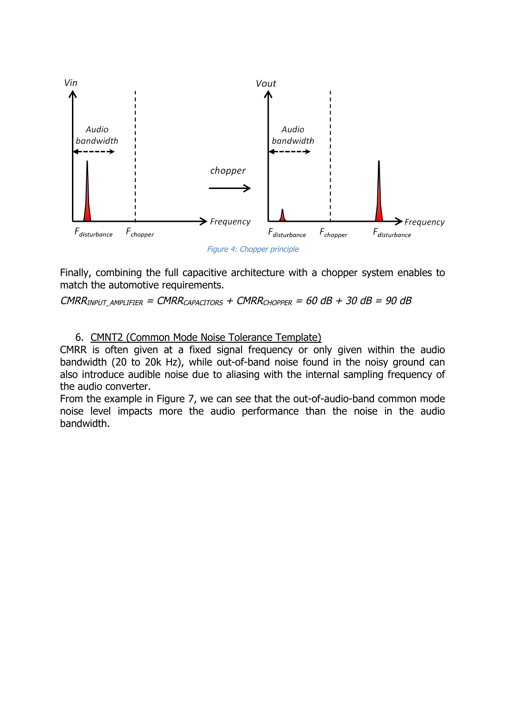

Figure 4: Chopper principle

Finally, combining the full capacitive architecture with a chopper system enables to match the automotive requirements.

CMRR<sub>INPUT</sub> AMPLIFIER = CMRR<sub>CAPACITORS</sub> + CMRR<sub>CHOPPER</sub> = 60 dB + 30 dB = 90 dB

#### 6. CMNT2 (Common Mode Noise Tolerance Template)

CMRR is often given at a fixed signal frequency or only given within the audio bandwidth (20 to 20k Hz), while out-of-band noise found in the noisy ground can also introduce audible noise due to aliasing with the internal sampling frequency of the audio converter.

From the example in Figure 7, we can see that the out-of-audio-band common mode noise level impacts more the audio performance than the noise in the audio bandwidth.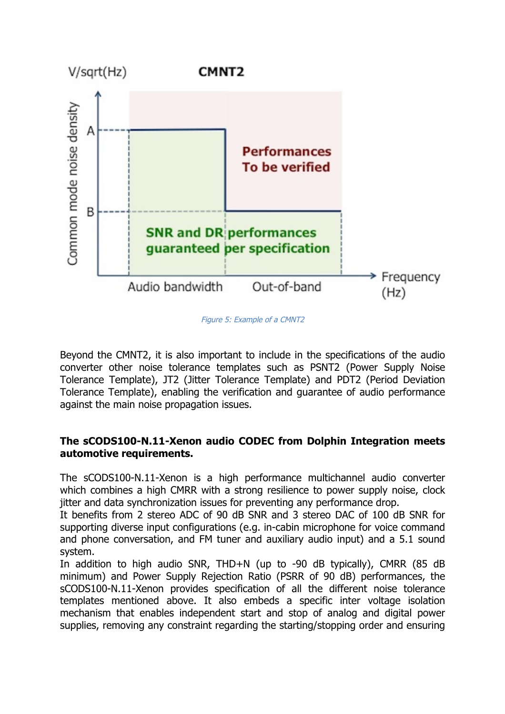

Figure 5: Example of a CMNT2

Beyond the CMNT2, it is also important to include in the specifications of the audio converter other noise tolerance templates such as PSNT2 (Power Supply Noise Tolerance Template), JT2 (Jitter Tolerance Template) and PDT2 (Period Deviation Tolerance Template), enabling the verification and guarantee of audio performance against the main noise propagation issues.

# **The sCODS100-N.11-Xenon audio CODEC from Dolphin Integration meets automotive requirements.**

The sCODS100-N.11-Xenon is a high performance multichannel audio converter which combines a high CMRR with a strong resilience to power supply noise, clock jitter and data synchronization issues for preventing any performance drop.

It benefits from 2 stereo ADC of 90 dB SNR and 3 stereo DAC of 100 dB SNR for supporting diverse input configurations (e.g. in-cabin microphone for voice command and phone conversation, and FM tuner and auxiliary audio input) and a 5.1 sound system.

In addition to high audio SNR, THD+N (up to -90 dB typically), CMRR (85 dB minimum) and Power Supply Rejection Ratio (PSRR of 90 dB) performances, the sCODS100-N.11-Xenon provides specification of all the different noise tolerance templates mentioned above. It also embeds a specific inter voltage isolation mechanism that enables independent start and stop of analog and digital power supplies, removing any constraint regarding the starting/stopping order and ensuring